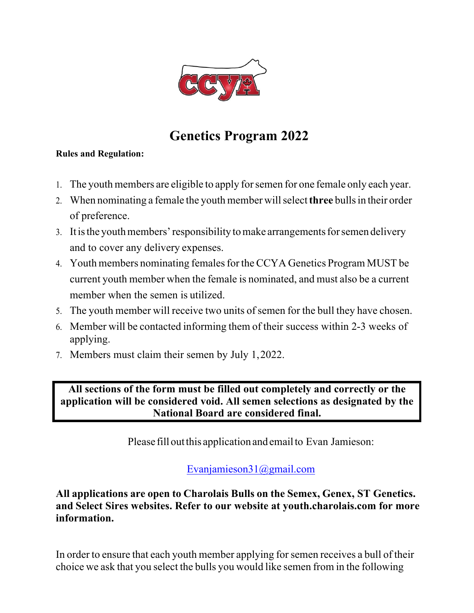

# **Genetics Program 2022**

#### **Rules and Regulation:**

- 1. The youth members are eligible to apply forsemen for one female only each year.
- 2. When nominating a female the youth member will select **three** bulls in their order of preference.
- 3. It is the youth members' responsibility to make arrangements for semen delivery and to cover any delivery expenses.
- 4. Youth members nominating females for the CCYA Genetics Program MUST be current youth member when the female is nominated, and must also be a current member when the semen is utilized.
- 5. The youth member will receive two units of semen for the bull they have chosen.
- 6. Member will be contacted informing them of their success within 2-3 weeks of applying.
- 7. Members must claim their semen by July 1,2022.

**All sections of the form must be filled out completely and correctly or the application will be considered void. All semen selections as designated by the National Board are considered final.**

Please fill out this application and email to Evan Jamieson:

### Evanjamieson31@gmail.com

**All applications are open to Charolais Bulls on the Semex, Genex, ST Genetics. and Select Sires websites. Refer to our website at youth.charolais.com for more information.**

In order to ensure that each youth member applying for semen receives a bull of their choice we ask that you select the bulls you would like semen from in the following